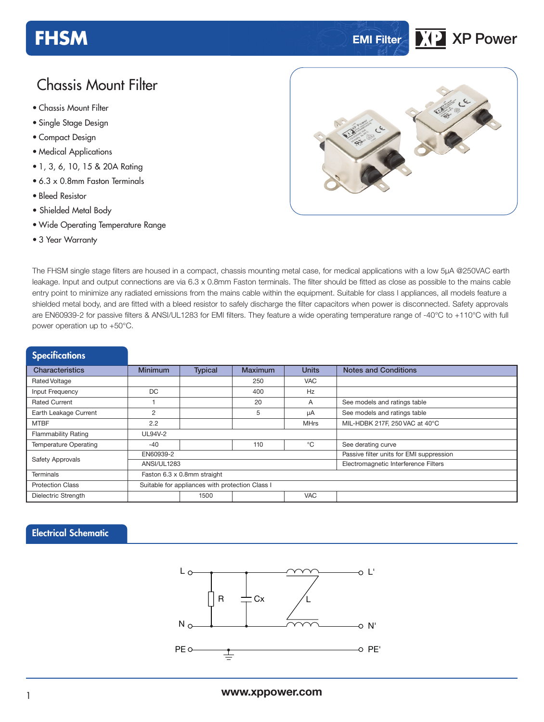## **FHSM EMI Filter XP XP XP** *XP* **XP** *XP*

## Chassis Mount Filter

- **xxx Series** Chassis Mount Filter
- Single Stage Design
- Compact Design
- Medical Applications
- 1, 3, 6, 10, 15 & 20A Rating
- 6.3 x 0.8mm Faston Terminals
- Bleed Resistor
- Shielded Metal Body
- Wide Operating Temperature Range
- 3 Year Warranty



The FHSM single stage filters are housed in a compact, chassis mounting metal case, for medical applications with a low 5µA @250VAC earth leakage. Input and output connections are via 6.3 x 0.8mm Faston terminals. The filter should be fitted as close as possible to the mains cable entry point to minimize any radiated emissions from the mains cable within the equipment. Suitable for class I appliances, all models feature a shielded metal body, and are fitted with a bleed resistor to safely discharge the filter capacitors when power is disconnected. Safety approvals are EN60939-2 for passive filters & ANSI/UL1283 for EMI filters. They feature a wide operating temperature range of -40°C to +110°C with full power operation up to +50°C.

### Characteristics Minimum Typical Maximum Units Notes and Conditions Rated Voltage 250 VAC Input Frequency DC DC 400 Hz Rated Current 1 1 1 20 A See models and ratings table Earth Leakage Current 2 5 <u>5 μA See models and ratings table</u> **Specifications**

| Larti Loanayo Valloit      |                                                 |      | ີ   | $\mu$                                    | Occ models and ratings table   |  |  |
|----------------------------|-------------------------------------------------|------|-----|------------------------------------------|--------------------------------|--|--|
| <b>MTBF</b>                | 2.2                                             |      |     | <b>MHrs</b>                              | MIL-HDBK 217F, 250 VAC at 40°C |  |  |
| <b>Flammability Rating</b> | <b>UL94V-2</b>                                  |      |     |                                          |                                |  |  |
| Temperature Operating      | $-40$                                           |      | 110 | °C                                       | See derating curve             |  |  |
| Safety Approvals           | EN60939-2                                       |      |     | Passive filter units for EMI suppression |                                |  |  |
|                            | ANSI/UL1283                                     |      |     | Electromagnetic Interference Filters     |                                |  |  |
| Terminals                  | Faston 6.3 x 0.8mm straight                     |      |     |                                          |                                |  |  |
| <b>Protection Class</b>    | Suitable for appliances with protection Class I |      |     |                                          |                                |  |  |
| Dielectric Strength        |                                                 | 1500 |     | <b>VAC</b>                               |                                |  |  |

#### Electrical Schematic

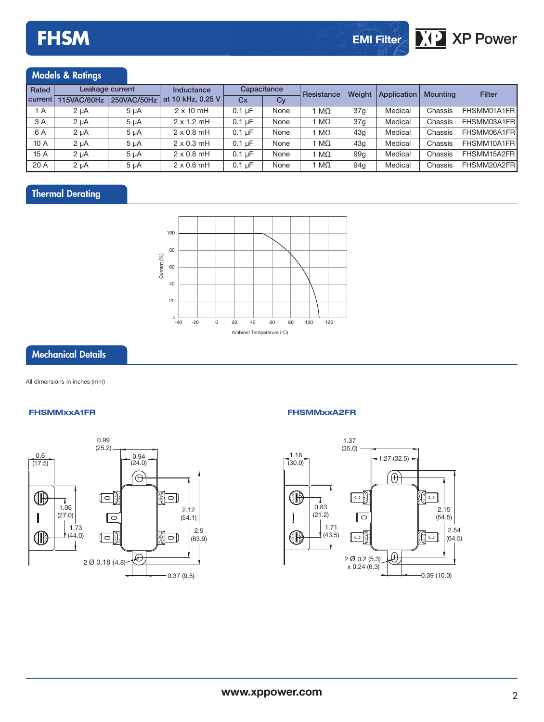

### Models & Ratings

| Rated          |             | Leakage current<br>Inductance |                   | Capacitance      |      | Resistance   | <b>Weight</b>   | Application | Mountina | Filter       |
|----------------|-------------|-------------------------------|-------------------|------------------|------|--------------|-----------------|-------------|----------|--------------|
| current        | 115VAC/60Hz | 250VAC/50Hz                   | at 10 kHz, 0.25 V | Cx               | Cy   |              |                 |             |          |              |
| <sup>1</sup> A | $2 \mu A$   | $5 \mu A$                     | $2 \times 10$ mH  | $0.1 \mu F$      | None | 1 M $\Omega$ | 37q             | Medical     | Chassis  | FHSMM01A1FRI |
| 3 A            | $2 \mu A$   | 5 uA                          | $2 \times 1.2$ mH | $0.1 \text{ uF}$ | None | 1 M $\Omega$ | 37q             | Medical     | Chassis  | FHSMM03A1FRI |
| 6 A            | $2 \mu A$   | 5 uA                          | $2 \times 0.8$ mH | $0.1 \text{ uF}$ | None | 1 M $\Omega$ | 43 <sub>a</sub> | Medical     | Chassis  | FHSMM06A1FR  |
| 10 A           | $2 \mu A$   | $5 \mu A$                     | $2 \times 0.3$ mH | $0.1 \text{ uF}$ | None | 1 M $\Omega$ | 43 <sub>a</sub> | Medical     | Chassis  | FHSMM10A1FRI |
| 15 A           | $2 \mu A$   | 5 uA                          | $2 \times 0.8$ mH | $0.1 \text{ uF}$ | None | 1 M $\Omega$ | 99 <sub>a</sub> | Medical     | Chassis  | FHSMM15A2FR  |
| 20 A           | $2 \mu A$   | 5 uA                          | $2 \times 0.6$ mH | $0.1 \text{ uF}$ | None | 1 M $\Omega$ | 94 <sub>a</sub> | Medical     | Chassis  | FHSMM20A2FRI |

### Thermal Derating



#### Mechanical Details

All dimensions in inches (mm)

#### **FHSMMxxA1FR FHSMMxxA2FR**